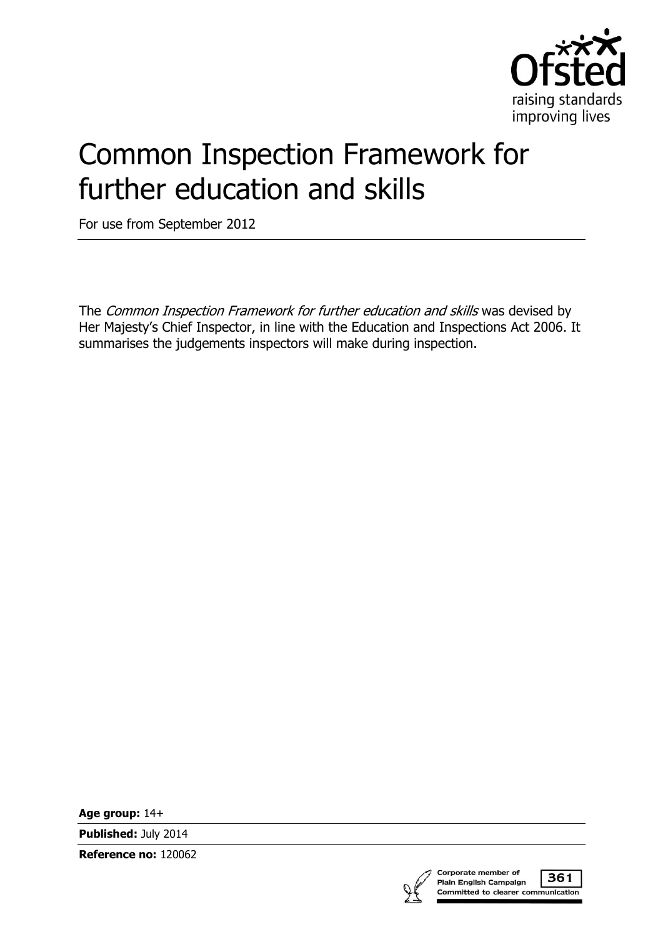

# Common Inspection Framework for further education and skills

For use from September 2012

The Common Inspection Framework for further education and skills was devised by Her Majesty's Chief Inspector, in line with the Education and Inspections Act 2006. It summarises the judgements inspectors will make during inspection.

**Age group:** 14+

**Published:** July 2014

**Reference no:** 120062



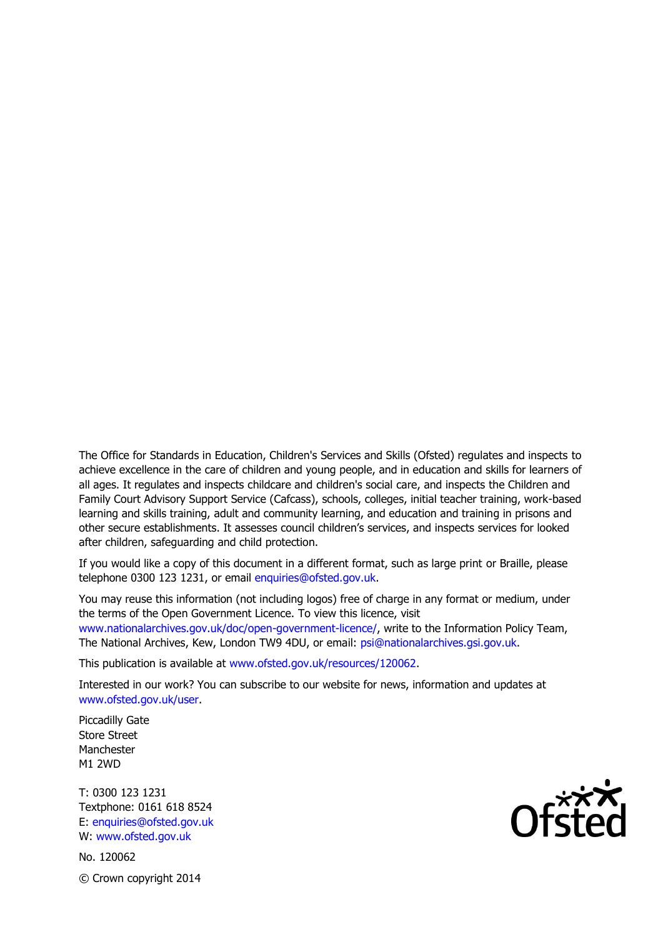The Office for Standards in Education, Children's Services and Skills (Ofsted) regulates and inspects to achieve excellence in the care of children and young people, and in education and skills for learners of all ages. It regulates and inspects childcare and children's social care, and inspects the Children and Family Court Advisory Support Service (Cafcass), schools, colleges, initial teacher training, work-based learning and skills training, adult and community learning, and education and training in prisons and other secure establishments. It assesses council children's services, and inspects services for looked after children, safeguarding and child protection.

If you would like a copy of this document in a different format, such as large print or Braille, please telephone 0300 123 1231, or email enquiries@ofsted.gov.uk.

You may reuse this information (not including logos) free of charge in any format or medium, under the terms of the Open Government Licence. To view this licence, visit www.nationalarchives.gov.uk/doc/open-government-licence/, write to the Information Policy Team, The National Archives, Kew, London TW9 4DU, or email: psi@nationalarchives.gsi.gov.uk.

This publication is available at www.ofsted.gov.uk/resources/120062.

Interested in our work? You can subscribe to our website for news, information and updates at www.ofsted.gov.uk/user.

Piccadilly Gate Store Street Manchester M1 2WD

T: 0300 123 1231 Textphone: 0161 618 8524 E: enquiries@ofsted.gov.uk W: www.ofsted.gov.uk

No. 120062 © Crown copyright 2014

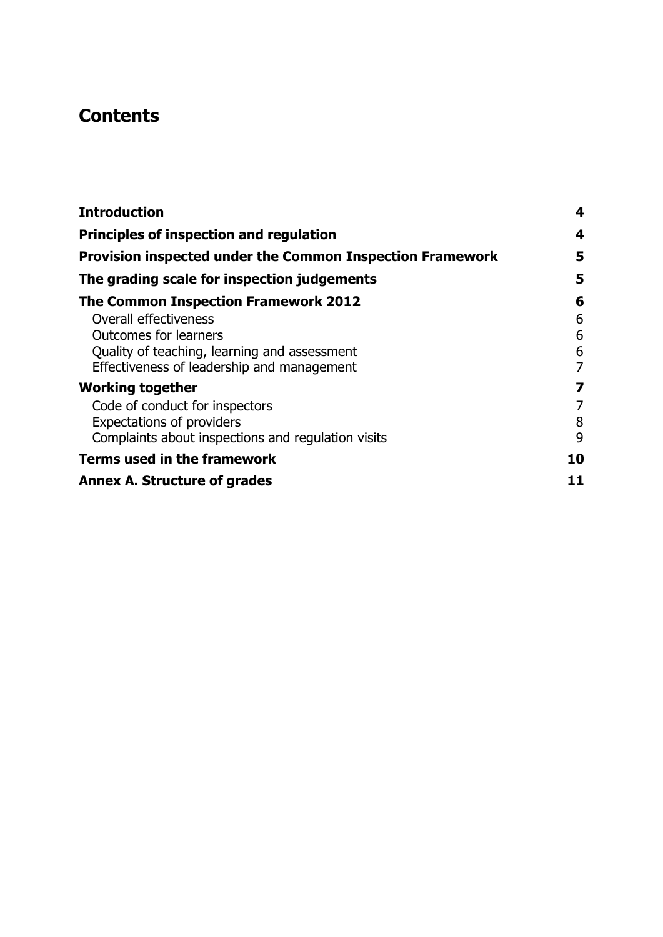## **Contents**

| <b>Introduction</b>                                              | 4  |
|------------------------------------------------------------------|----|
| <b>Principles of inspection and regulation</b>                   |    |
| <b>Provision inspected under the Common Inspection Framework</b> | 5  |
| The grading scale for inspection judgements                      | 5  |
| <b>The Common Inspection Framework 2012</b>                      | 6  |
| Overall effectiveness                                            | 6  |
| <b>Outcomes for learners</b>                                     | 6  |
| Quality of teaching, learning and assessment                     | 6  |
| Effectiveness of leadership and management                       | 7  |
| <b>Working together</b>                                          | 7  |
| Code of conduct for inspectors                                   | 7  |
| <b>Expectations of providers</b>                                 | 8  |
| Complaints about inspections and regulation visits               | 9  |
| <b>Terms used in the framework</b>                               | 10 |
| <b>Annex A. Structure of grades</b>                              | 11 |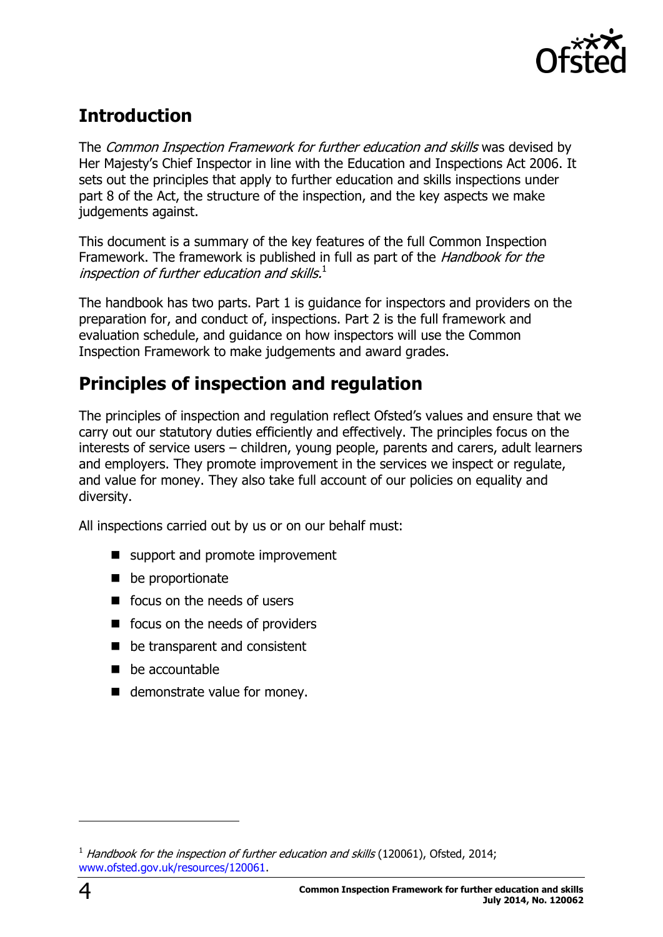

## <span id="page-3-0"></span>**Introduction**

The Common Inspection Framework for further education and skills was devised by Her Majesty's Chief Inspector in line with the Education and Inspections Act 2006. It sets out the principles that apply to further education and skills inspections under part 8 of the Act, the structure of the inspection, and the key aspects we make judgements against.

This document is a summary of the key features of the full Common Inspection Framework. The framework is published in full as part of the *Handbook for the* inspection of further education and skills. $^1$ 

The handbook has two parts. Part 1 is guidance for inspectors and providers on the preparation for, and conduct of, inspections. Part 2 is the full framework and evaluation schedule, and guidance on how inspectors will use the Common Inspection Framework to make judgements and award grades.

# <span id="page-3-1"></span>**Principles of inspection and regulation**

The principles of inspection and regulation reflect Ofsted's values and ensure that we carry out our statutory duties efficiently and effectively. The principles focus on the interests of service users – children, young people, parents and carers, adult learners and employers. They promote improvement in the services we inspect or regulate, and value for money. They also take full account of our policies on equality and diversity.

All inspections carried out by us or on our behalf must:

- support and promote improvement
- **be proportionate**
- focus on the needs of users
- focus on the needs of providers
- be transparent and consistent
- **be accountable**
- demonstrate value for money.

j

 $1$  Handbook for the inspection of further education and skills (120061), Ofsted, 2014; [www.ofsted.gov.uk/resources/120061.](http://www.ofsted.gov.uk/resources/120061)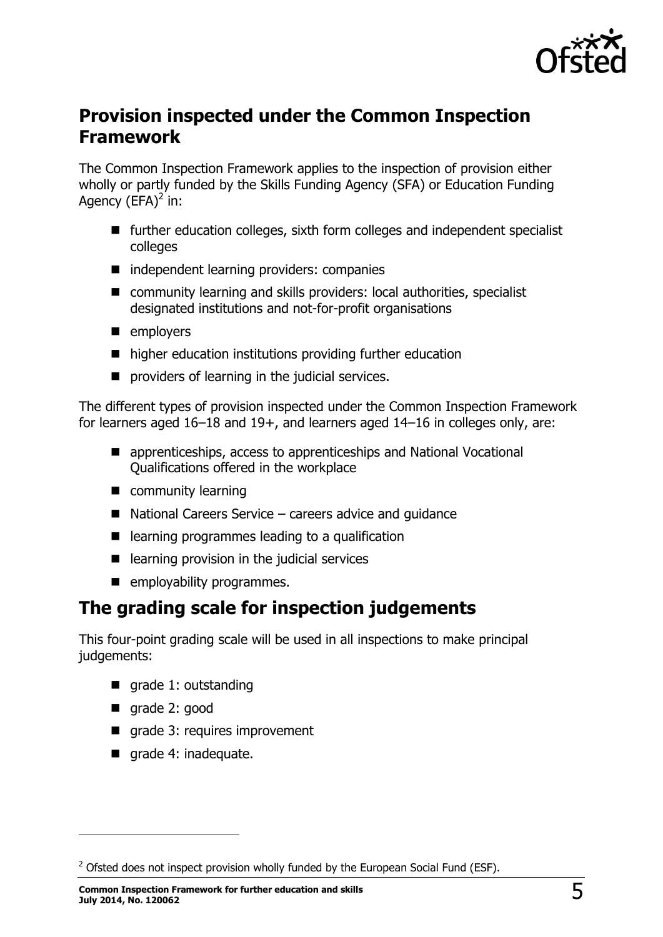

### <span id="page-4-0"></span>**Provision inspected under the Common Inspection Framework**

The Common Inspection Framework applies to the inspection of provision either wholly or partly funded by the Skills Funding Agency (SFA) or Education Funding Agency  $(EFA)^2$  in:

- further education colleges, sixth form colleges and independent specialist colleges
- independent learning providers: companies
- community learning and skills providers: local authorities, specialist designated institutions and not-for-profit organisations
- **n** employers
- higher education institutions providing further education
- $\blacksquare$  providers of learning in the judicial services.

The different types of provision inspected under the Common Inspection Framework for learners aged 16–18 and 19+, and learners aged 14–16 in colleges only, are:

- apprenticeships, access to apprenticeships and National Vocational Qualifications offered in the workplace
- **E** community learning
- $\blacksquare$  National Careers Service careers advice and quidance
- learning programmes leading to a qualification
- $\blacksquare$  learning provision in the judicial services
- **E** employability programmes.

### <span id="page-4-1"></span>**The grading scale for inspection judgements**

This four-point grading scale will be used in all inspections to make principal judgements:

- qrade 1: outstanding
- qrade 2: good

j

- grade 3: requires improvement
- qrade 4: inadequate.

 $<sup>2</sup>$  Ofsted does not inspect provision wholly funded by the European Social Fund (ESF).</sup>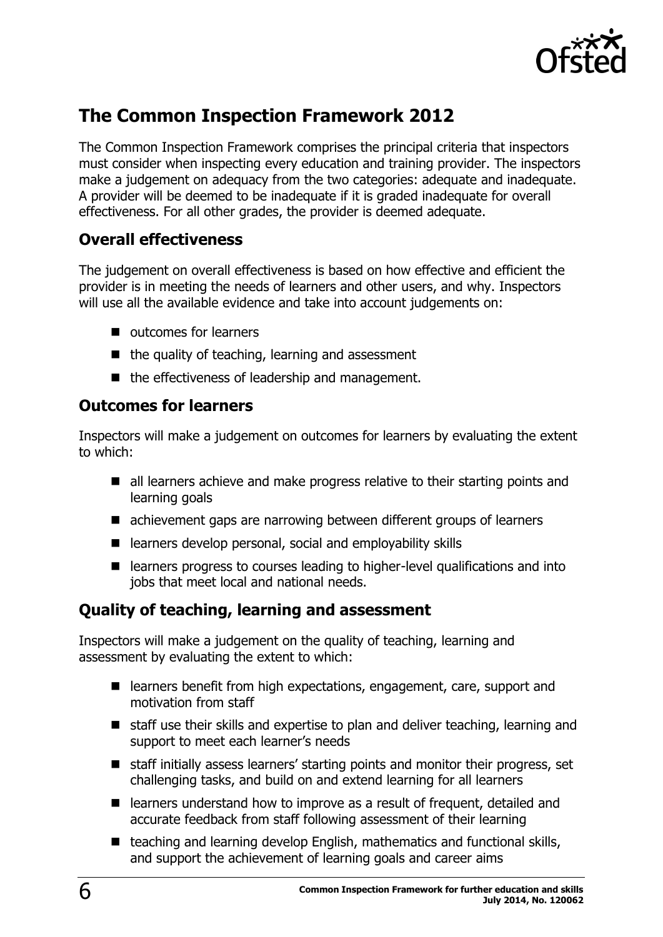

### <span id="page-5-0"></span>**The Common Inspection Framework 2012**

The Common Inspection Framework comprises the principal criteria that inspectors must consider when inspecting every education and training provider. The inspectors make a judgement on adequacy from the two categories: adequate and inadequate. A provider will be deemed to be inadequate if it is graded inadequate for overall effectiveness. For all other grades, the provider is deemed adequate.

#### <span id="page-5-1"></span>**Overall effectiveness**

The judgement on overall effectiveness is based on how effective and efficient the provider is in meeting the needs of learners and other users, and why. Inspectors will use all the available evidence and take into account judgements on:

- **u** outcomes for learners
- $\blacksquare$  the quality of teaching, learning and assessment
- the effectiveness of leadership and management.

#### <span id="page-5-2"></span>**Outcomes for learners**

Inspectors will make a judgement on outcomes for learners by evaluating the extent to which:

- all learners achieve and make progress relative to their starting points and learning goals
- achievement gaps are narrowing between different groups of learners
- $\blacksquare$  learners develop personal, social and employability skills
- learners progress to courses leading to higher-level qualifications and into jobs that meet local and national needs.

#### <span id="page-5-3"></span>**Quality of teaching, learning and assessment**

Inspectors will make a judgement on the quality of teaching, learning and assessment by evaluating the extent to which:

- learners benefit from high expectations, engagement, care, support and motivation from staff
- staff use their skills and expertise to plan and deliver teaching, learning and support to meet each learner's needs
- staff initially assess learners' starting points and monitor their progress, set challenging tasks, and build on and extend learning for all learners
- learners understand how to improve as a result of frequent, detailed and accurate feedback from staff following assessment of their learning
- $\blacksquare$  teaching and learning develop English, mathematics and functional skills, and support the achievement of learning goals and career aims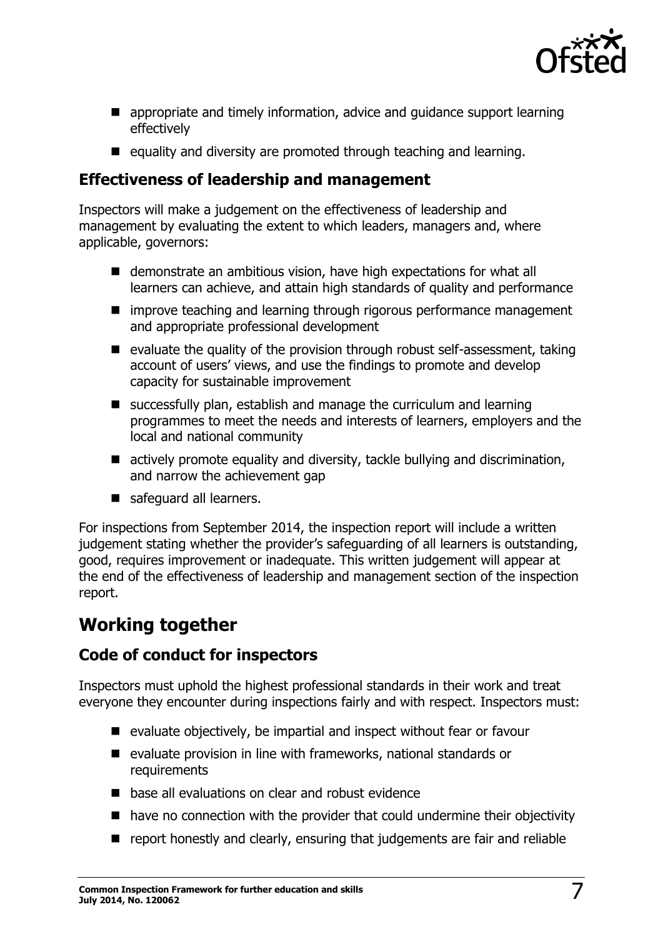

- **E** appropriate and timely information, advice and guidance support learning effectively
- $\blacksquare$  equality and diversity are promoted through teaching and learning.

#### <span id="page-6-0"></span>**Effectiveness of leadership and management**

Inspectors will make a judgement on the effectiveness of leadership and management by evaluating the extent to which leaders, managers and, where applicable, governors:

- demonstrate an ambitious vision, have high expectations for what all learners can achieve, and attain high standards of quality and performance
- improve teaching and learning through rigorous performance management and appropriate professional development
- $\blacksquare$  evaluate the quality of the provision through robust self-assessment, taking account of users' views, and use the findings to promote and develop capacity for sustainable improvement
- successfully plan, establish and manage the curriculum and learning programmes to meet the needs and interests of learners, employers and the local and national community
- actively promote equality and diversity, tackle bullying and discrimination, and narrow the achievement gap
- safeguard all learners.

For inspections from September 2014, the inspection report will include a written judgement stating whether the provider's safeguarding of all learners is outstanding, good, requires improvement or inadequate. This written judgement will appear at the end of the effectiveness of leadership and management section of the inspection report.

## <span id="page-6-1"></span>**Working together**

#### <span id="page-6-2"></span>**Code of conduct for inspectors**

Inspectors must uphold the highest professional standards in their work and treat everyone they encounter during inspections fairly and with respect. Inspectors must:

- $\blacksquare$  evaluate objectively, be impartial and inspect without fear or favour
- $\blacksquare$  evaluate provision in line with frameworks, national standards or requirements
- **E** base all evaluations on clear and robust evidence
- have no connection with the provider that could undermine their objectivity
- **P** report honestly and clearly, ensuring that judgements are fair and reliable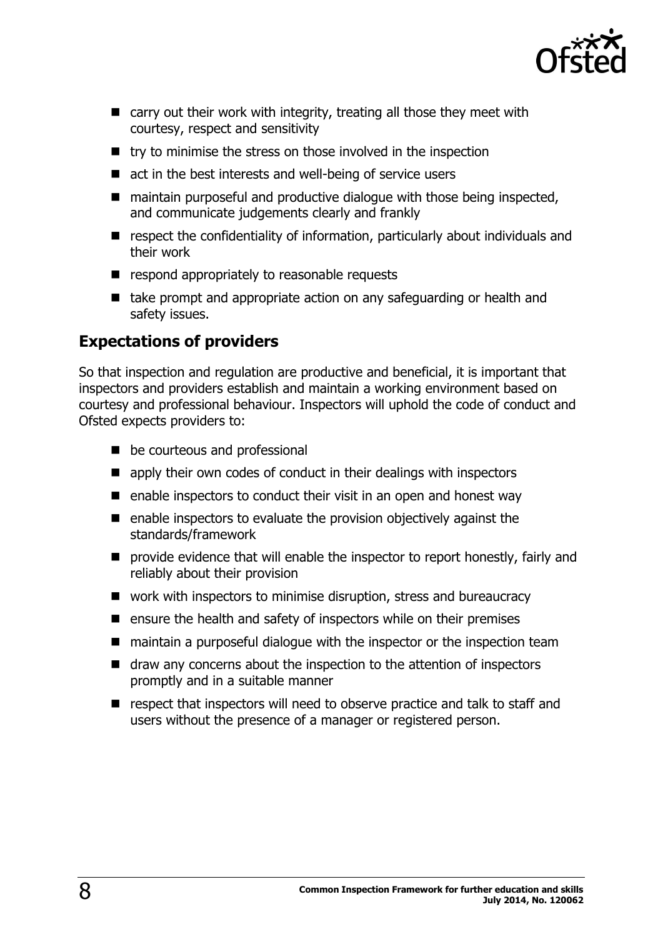

- $\blacksquare$  carry out their work with integrity, treating all those they meet with courtesy, respect and sensitivity
- $\blacksquare$  try to minimise the stress on those involved in the inspection
- $\blacksquare$  act in the best interests and well-being of service users
- maintain purposeful and productive dialogue with those being inspected, and communicate judgements clearly and frankly
- **E** respect the confidentiality of information, particularly about individuals and their work
- $\blacksquare$  respond appropriately to reasonable requests
- $\blacksquare$  take prompt and appropriate action on any safeguarding or health and safety issues.

#### <span id="page-7-0"></span>**Expectations of providers**

So that inspection and regulation are productive and beneficial, it is important that inspectors and providers establish and maintain a working environment based on courtesy and professional behaviour. Inspectors will uphold the code of conduct and Ofsted expects providers to:

- be courteous and professional
- **E** apply their own codes of conduct in their dealings with inspectors
- $\blacksquare$  enable inspectors to conduct their visit in an open and honest way
- $\blacksquare$  enable inspectors to evaluate the provision objectively against the standards/framework
- **P** provide evidence that will enable the inspector to report honestly, fairly and reliably about their provision
- work with inspectors to minimise disruption, stress and bureaucracy
- $\blacksquare$  ensure the health and safety of inspectors while on their premises
- maintain a purposeful dialogue with the inspector or the inspection team
- draw any concerns about the inspection to the attention of inspectors promptly and in a suitable manner
- respect that inspectors will need to observe practice and talk to staff and users without the presence of a manager or registered person.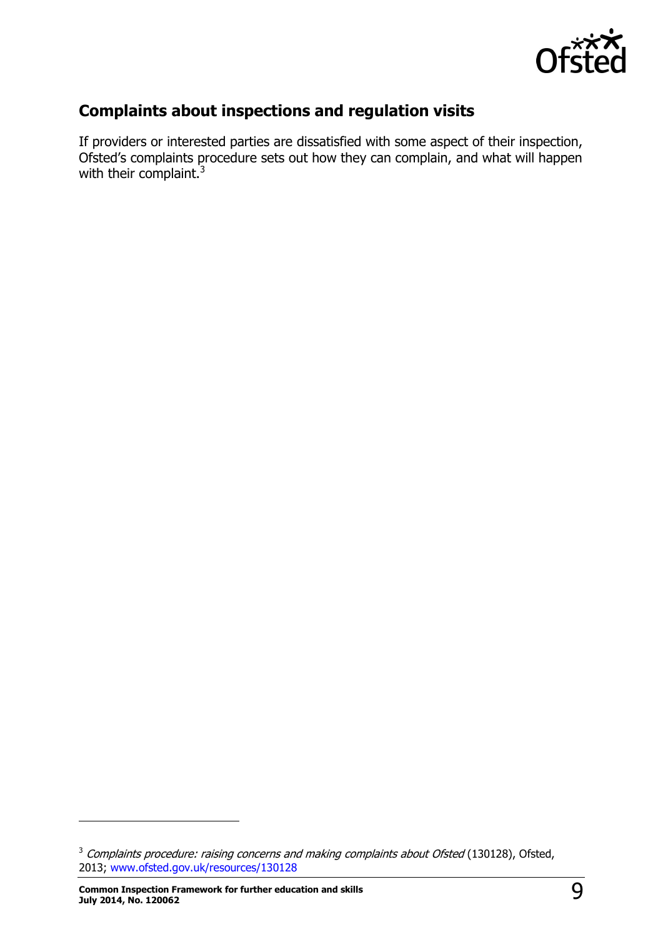

### <span id="page-8-0"></span>**Complaints about inspections and regulation visits**

If providers or interested parties are dissatisfied with some aspect of their inspection, Ofsted's complaints procedure sets out how they can complain, and what will happen with their complaint.<sup>3</sup>

j

<sup>&</sup>lt;sup>3</sup> Complaints procedure: raising concerns and making complaints about Ofsted (130128), Ofsted, 2013; [www.ofsted.gov.uk/resources/130128](http://www.ofsted.gov.uk/resources/130128)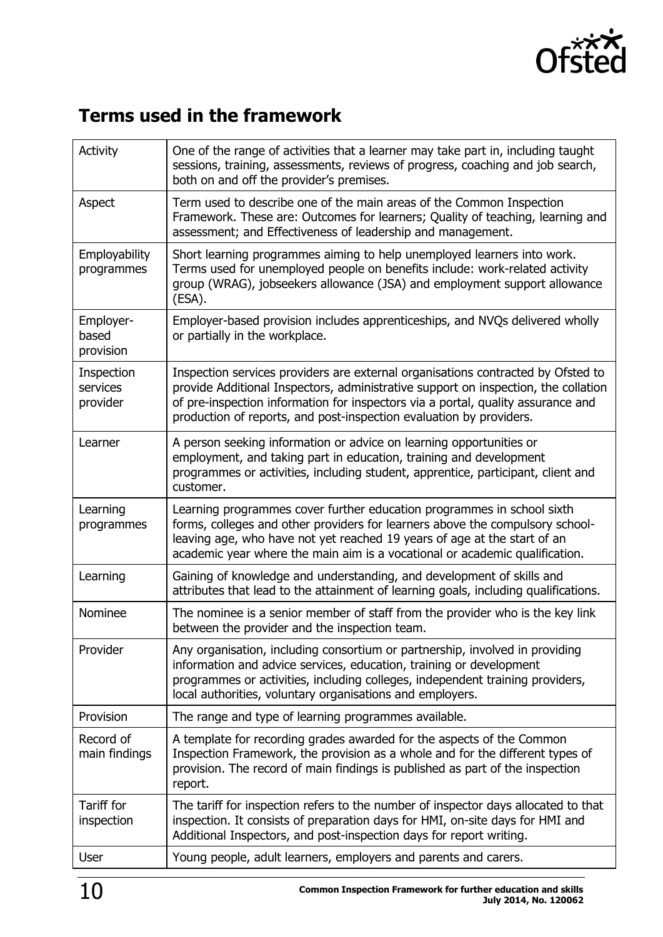

# <span id="page-9-0"></span>**Terms used in the framework**

| <b>Activity</b>                    | One of the range of activities that a learner may take part in, including taught<br>sessions, training, assessments, reviews of progress, coaching and job search,<br>both on and off the provider's premises.                                                                                                                    |
|------------------------------------|-----------------------------------------------------------------------------------------------------------------------------------------------------------------------------------------------------------------------------------------------------------------------------------------------------------------------------------|
| Aspect                             | Term used to describe one of the main areas of the Common Inspection<br>Framework. These are: Outcomes for learners; Quality of teaching, learning and<br>assessment; and Effectiveness of leadership and management.                                                                                                             |
| Employability<br>programmes        | Short learning programmes aiming to help unemployed learners into work.<br>Terms used for unemployed people on benefits include: work-related activity<br>group (WRAG), jobseekers allowance (JSA) and employment support allowance<br>(ESA).                                                                                     |
| Employer-<br>based<br>provision    | Employer-based provision includes apprenticeships, and NVQs delivered wholly<br>or partially in the workplace.                                                                                                                                                                                                                    |
| Inspection<br>services<br>provider | Inspection services providers are external organisations contracted by Ofsted to<br>provide Additional Inspectors, administrative support on inspection, the collation<br>of pre-inspection information for inspectors via a portal, quality assurance and<br>production of reports, and post-inspection evaluation by providers. |
| Learner                            | A person seeking information or advice on learning opportunities or<br>employment, and taking part in education, training and development<br>programmes or activities, including student, apprentice, participant, client and<br>customer.                                                                                        |
| Learning<br>programmes             | Learning programmes cover further education programmes in school sixth<br>forms, colleges and other providers for learners above the compulsory school-<br>leaving age, who have not yet reached 19 years of age at the start of an<br>academic year where the main aim is a vocational or academic qualification.                |
| Learning                           | Gaining of knowledge and understanding, and development of skills and<br>attributes that lead to the attainment of learning goals, including qualifications.                                                                                                                                                                      |
| Nominee                            | The nominee is a senior member of staff from the provider who is the key link<br>between the provider and the inspection team.                                                                                                                                                                                                    |
| Provider                           | Any organisation, including consortium or partnership, involved in providing<br>information and advice services, education, training or development<br>programmes or activities, including colleges, independent training providers,<br>local authorities, voluntary organisations and employers.                                 |
| Provision                          | The range and type of learning programmes available.                                                                                                                                                                                                                                                                              |
| Record of<br>main findings         | A template for recording grades awarded for the aspects of the Common<br>Inspection Framework, the provision as a whole and for the different types of<br>provision. The record of main findings is published as part of the inspection<br>report.                                                                                |
| Tariff for<br>inspection           | The tariff for inspection refers to the number of inspector days allocated to that<br>inspection. It consists of preparation days for HMI, on-site days for HMI and<br>Additional Inspectors, and post-inspection days for report writing.                                                                                        |
| User                               | Young people, adult learners, employers and parents and carers.                                                                                                                                                                                                                                                                   |